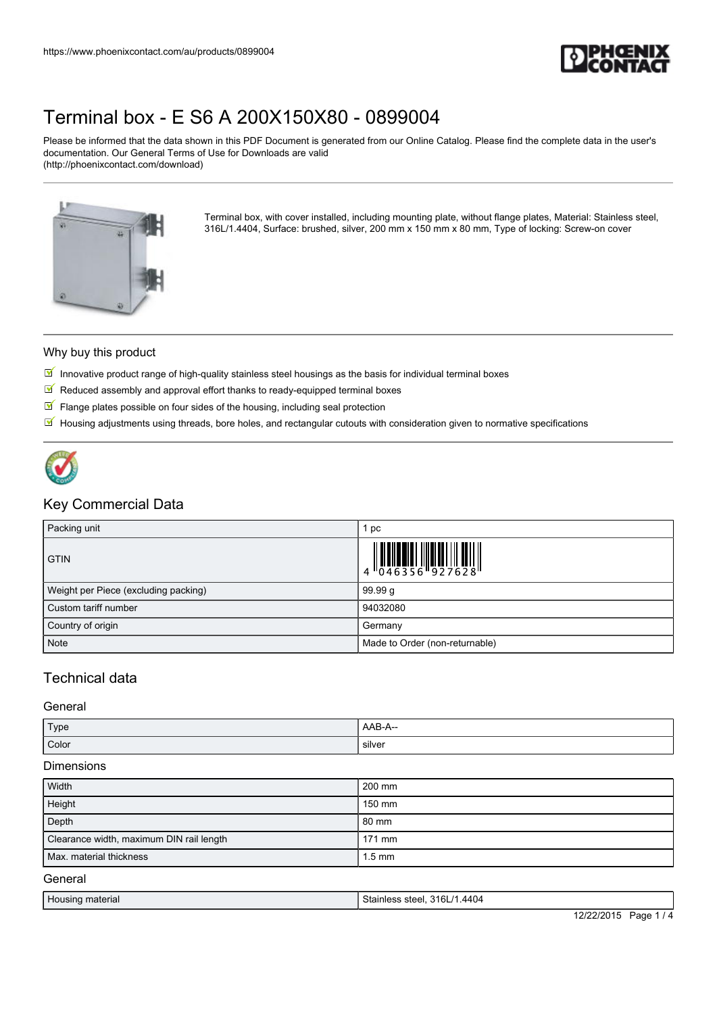

Please be informed that the data shown in this PDF Document is generated from our Online Catalog. Please find the complete data in the user's documentation. Our General Terms of Use for Downloads are valid (http://phoenixcontact.com/download)



Terminal box, with cover installed, including mounting plate, without flange plates, Material: Stainless steel, 316L/1.4404, Surface: brushed, silver, 200 mm x 150 mm x 80 mm, Type of locking: Screw-on cover

#### Why buy this product

- $\mathbb N$  Innovative product range of high-quality stainless steel housings as the basis for individual terminal boxes
- $\blacksquare$  Reduced assembly and approval effort thanks to ready-equipped terminal boxes
- $\blacksquare$  Flange plates possible on four sides of the housing, including seal protection
- $\mathbb N$  Housing adjustments using threads, bore holes, and rectangular cutouts with consideration given to normative specifications



### Key Commercial Data

| Packing unit                         | 1 pc                           |
|--------------------------------------|--------------------------------|
| <b>GTIN</b>                          |                                |
| Weight per Piece (excluding packing) | 99.99 g                        |
| Custom tariff number                 | 94032080                       |
| Country of origin                    | Germany                        |
| <b>Note</b>                          | Made to Order (non-returnable) |

## Technical data

#### General

| Type  | . AAB-A-- |
|-------|-----------|
| Color | silver    |

#### Dimensions

| 200 mm           |
|------------------|
| 150 mm           |
| 80 mm            |
| $171$ mm         |
| $1.5 \text{ mm}$ |
|                  |

#### General

| Housing material | Stainless steel, 316L/1.4404 |                  |
|------------------|------------------------------|------------------|
|                  | 12/22/2015                   | Page<br>$\Delta$ |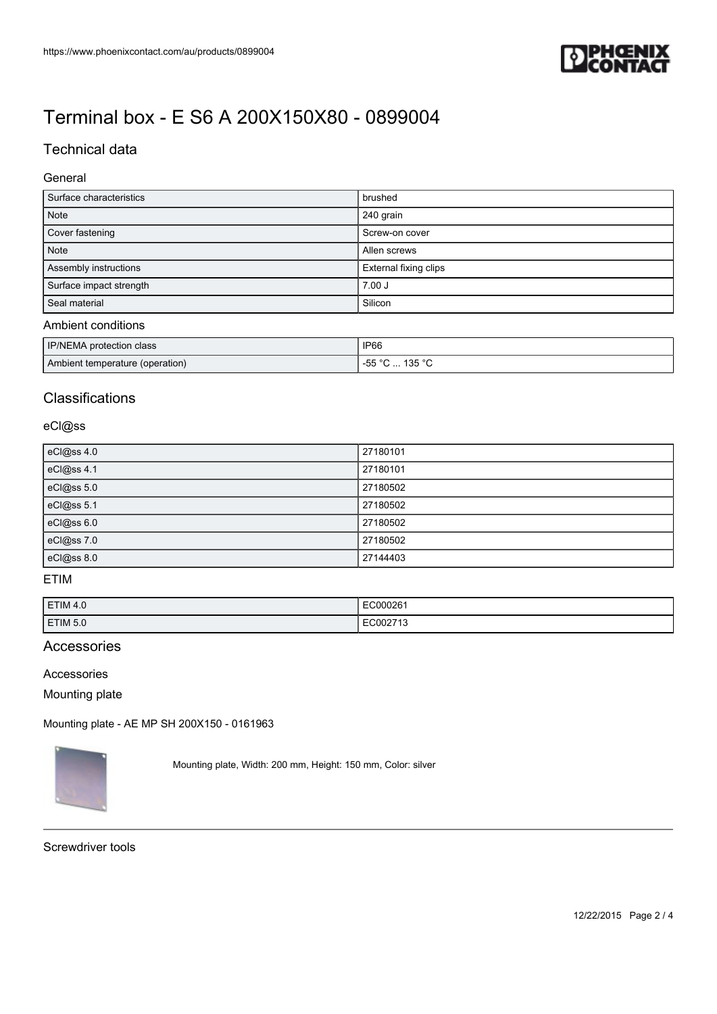

## Technical data

### General

| Surface characteristics | brushed               |
|-------------------------|-----------------------|
| <b>Note</b>             | 240 grain             |
| Cover fastening         | Screw-on cover        |
| <b>Note</b>             | Allen screws          |
| Assembly instructions   | External fixing clips |
| Surface impact strength | $7.00$ J              |
| Seal material           | Silicon               |
|                         |                       |

## Ambient conditions

| IP/NEMA protection class        | <b>IP66</b>                 |
|---------------------------------|-----------------------------|
| Ambient temperature (operation) | ີ∪  135 °C.<br>EE °C<br>. ט |

## **Classifications**

### eCl@ss

| eCl@ss 4.0 | 27180101 |
|------------|----------|
| eCl@ss 4.1 | 27180101 |
| eCl@ss 5.0 | 27180502 |
| eCl@ss 5.1 | 27180502 |
| eCl@ss 6.0 | 27180502 |
| eCl@ss 7.0 | 27180502 |
| eCl@ss 8.0 | 27144403 |

## ETIM

| <b>ETIM 4.0</b> | EC00026<br>. |
|-----------------|--------------|
| <b>ETIM 5.0</b> | $-1.002$ .   |

### Accessories

#### Accessories

Mounting plate

[Mounting plate - AE MP SH 200X150 - 0161963](https://www.phoenixcontact.com/au/products/0161963)



Mounting plate, Width: 200 mm, Height: 150 mm, Color: silver

Screwdriver tools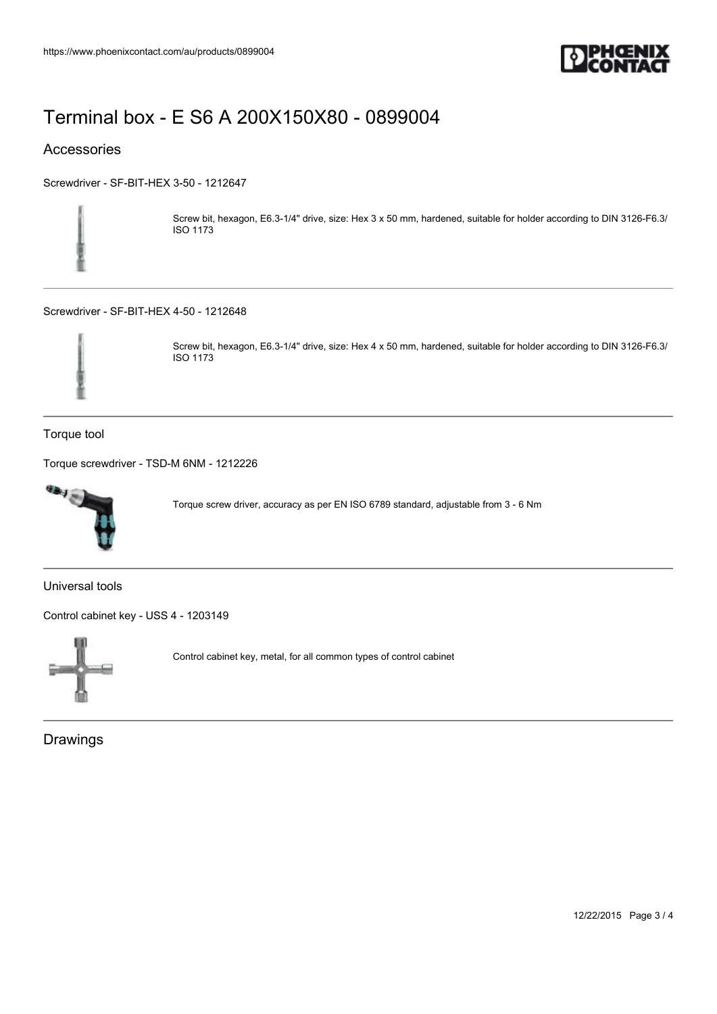

## Accessories

[Screwdriver - SF-BIT-HEX 3-50 - 1212647](https://www.phoenixcontact.com/au/products/1212647)



Screw bit, hexagon, E6.3-1/4" drive, size: Hex 3 x 50 mm, hardened, suitable for holder according to DIN 3126-F6.3/ ISO 1173

[Screwdriver - SF-BIT-HEX 4-50 - 1212648](https://www.phoenixcontact.com/au/products/1212648)



Screw bit, hexagon, E6.3-1/4" drive, size: Hex 4 x 50 mm, hardened, suitable for holder according to DIN 3126-F6.3/ ISO 1173

Torque tool

[Torque screwdriver - TSD-M 6NM - 1212226](https://www.phoenixcontact.com/au/products/1212226)



Torque screw driver, accuracy as per EN ISO 6789 standard, adjustable from 3 ‑ 6 Nm

Universal tools

[Control cabinet key - USS 4 - 1203149](https://www.phoenixcontact.com/au/products/1203149)



Control cabinet key, metal, for all common types of control cabinet

**Drawings**